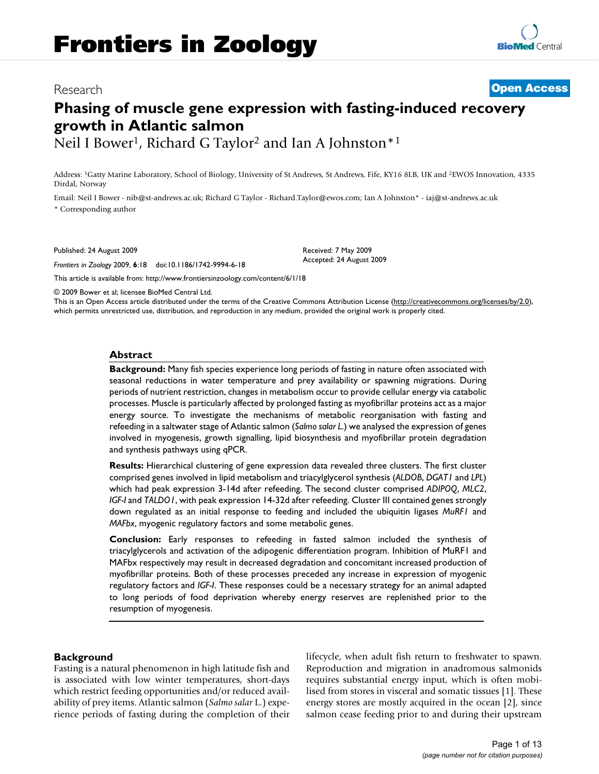# Research **[Open Access](http://www.biomedcentral.com/info/about/charter/)**

# **Phasing of muscle gene expression with fasting-induced recovery growth in Atlantic salmon** Neil I Bower<sup>1</sup>, Richard G Taylor<sup>2</sup> and Ian A Johnston<sup>\*1</sup>

Address: 1Gatty Marine Laboratory, School of Biology, University of St Andrews, St Andrews, Fife, KY16 8LB, UK and 2EWOS Innovation, 4335 Dirdal, Norway

Email: Neil I Bower - nib@st-andrews.ac.uk; Richard G Taylor - Richard.Taylor@ewos.com; Ian A Johnston\* - iaj@st-andrews.ac.uk \* Corresponding author

Published: 24 August 2009

*Frontiers in Zoology* 2009, **6**:18 doi:10.1186/1742-9994-6-18

[This article is available from: http://www.frontiersinzoology.com/content/6/1/18](http://www.frontiersinzoology.com/content/6/1/18)

© 2009 Bower et al; licensee BioMed Central Ltd.

This is an Open Access article distributed under the terms of the Creative Commons Attribution License [\(http://creativecommons.org/licenses/by/2.0\)](http://creativecommons.org/licenses/by/2.0), which permits unrestricted use, distribution, and reproduction in any medium, provided the original work is properly cited.

Received: 7 May 2009 Accepted: 24 August 2009

#### **Abstract**

**Background:** Many fish species experience long periods of fasting in nature often associated with seasonal reductions in water temperature and prey availability or spawning migrations. During periods of nutrient restriction, changes in metabolism occur to provide cellular energy via catabolic processes. Muscle is particularly affected by prolonged fasting as myofibrillar proteins act as a major energy source. To investigate the mechanisms of metabolic reorganisation with fasting and refeeding in a saltwater stage of Atlantic salmon (*Salmo salar L*.) we analysed the expression of genes involved in myogenesis, growth signalling, lipid biosynthesis and myofibrillar protein degradation and synthesis pathways using qPCR.

**Results:** Hierarchical clustering of gene expression data revealed three clusters. The first cluster comprised genes involved in lipid metabolism and triacylglycerol synthesis (*ALDOB*, *DGAT1* and *LPL*) which had peak expression 3-14d after refeeding. The second cluster comprised *ADIPOQ*, *MLC2*, *IGF-I* and *TALDO1*, with peak expression 14-32d after refeeding. Cluster III contained genes strongly down regulated as an initial response to feeding and included the ubiquitin ligases *MuRF1* and *MAFbx*, myogenic regulatory factors and some metabolic genes.

**Conclusion:** Early responses to refeeding in fasted salmon included the synthesis of triacylglycerols and activation of the adipogenic differentiation program. Inhibition of MuRF1 and MAFbx respectively may result in decreased degradation and concomitant increased production of myofibrillar proteins. Both of these processes preceded any increase in expression of myogenic regulatory factors and *IGF-I*. These responses could be a necessary strategy for an animal adapted to long periods of food deprivation whereby energy reserves are replenished prior to the resumption of myogenesis.

#### **Background**

Fasting is a natural phenomenon in high latitude fish and is associated with low winter temperatures, short-days which restrict feeding opportunities and/or reduced availability of prey items. Atlantic salmon (*Salmo salar* L.) experience periods of fasting during the completion of their lifecycle, when adult fish return to freshwater to spawn. Reproduction and migration in anadromous salmonids requires substantial energy input, which is often mobilised from stores in visceral and somatic tissues [\[1\]](#page-10-0). These energy stores are mostly acquired in the ocean [\[2\]](#page-10-1), since salmon cease feeding prior to and during their upstream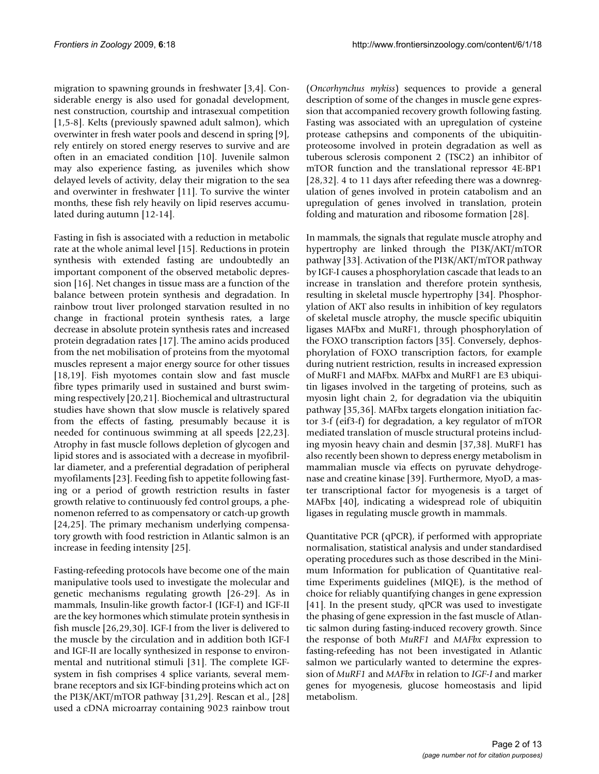migration to spawning grounds in freshwater [[3](#page-10-2),[4](#page-10-3)]. Considerable energy is also used for gonadal development, nest construction, courtship and intrasexual competition [[1](#page-10-0)[,5-](#page-10-4)[8](#page-10-5)]. Kelts (previously spawned adult salmon), which overwinter in fresh water pools and descend in spring [[9](#page-10-6)], rely entirely on stored energy reserves to survive and are often in an emaciated condition [\[10](#page-10-7)]. Juvenile salmon may also experience fasting, as juveniles which show delayed levels of activity, delay their migration to the sea and overwinter in freshwater [\[11](#page-10-8)]. To survive the winter months, these fish rely heavily on lipid reserves accumulated during autumn [\[12-](#page-10-9)[14\]](#page-10-10).

Fasting in fish is associated with a reduction in metabolic rate at the whole animal level [\[15](#page-10-11)]. Reductions in protein synthesis with extended fasting are undoubtedly an important component of the observed metabolic depression [[16\]](#page-10-12). Net changes in tissue mass are a function of the balance between protein synthesis and degradation. In rainbow trout liver prolonged starvation resulted in no change in fractional protein synthesis rates, a large decrease in absolute protein synthesis rates and increased protein degradation rates [\[17\]](#page-10-13). The amino acids produced from the net mobilisation of proteins from the myotomal muscles represent a major energy source for other tissues [[18](#page-10-14),[19\]](#page-10-15). Fish myotomes contain slow and fast muscle fibre types primarily used in sustained and burst swimming respectively [\[20](#page-10-16)[,21](#page-10-17)]. Biochemical and ultrastructural studies have shown that slow muscle is relatively spared from the effects of fasting, presumably because it is needed for continuous swimming at all speeds [[22](#page-10-18)[,23](#page-10-19)]. Atrophy in fast muscle follows depletion of glycogen and lipid stores and is associated with a decrease in myofibrillar diameter, and a preferential degradation of peripheral myofilaments [[23\]](#page-10-19). Feeding fish to appetite following fasting or a period of growth restriction results in faster growth relative to continuously fed control groups, a phenomenon referred to as compensatory or catch-up growth [[24](#page-10-20),[25\]](#page-10-21). The primary mechanism underlying compensatory growth with food restriction in Atlantic salmon is an increase in feeding intensity [\[25](#page-10-21)].

Fasting-refeeding protocols have become one of the main manipulative tools used to investigate the molecular and genetic mechanisms regulating growth [\[26](#page-10-22)[-29](#page-11-0)]. As in mammals, Insulin-like growth factor-I (IGF-I) and IGF-II are the key hormones which stimulate protein synthesis in fish muscle [\[26](#page-10-22),[29](#page-11-0)[,30\]](#page-11-1). IGF-I from the liver is delivered to the muscle by the circulation and in addition both IGF-I and IGF-II are locally synthesized in response to environmental and nutritional stimuli [[31\]](#page-11-2). The complete IGFsystem in fish comprises 4 splice variants, several membrane receptors and six IGF-binding proteins which act on the PI3K/AKT/mTOR pathway [[31](#page-11-2),[29\]](#page-11-0). Rescan et al., [[28\]](#page-10-23) used a cDNA microarray containing 9023 rainbow trout

(*Oncorhynchus mykiss*) sequences to provide a general description of some of the changes in muscle gene expression that accompanied recovery growth following fasting. Fasting was associated with an upregulation of cysteine protease cathepsins and components of the ubiquitinproteosome involved in protein degradation as well as tuberous sclerosis component 2 (TSC2) an inhibitor of mTOR function and the translational repressor 4E-BP1 [[28](#page-10-23),[32\]](#page-11-3). 4 to 11 days after refeeding there was a downregulation of genes involved in protein catabolism and an upregulation of genes involved in translation, protein folding and maturation and ribosome formation [\[28](#page-10-23)].

In mammals, the signals that regulate muscle atrophy and hypertrophy are linked through the PI3K/AKT/mTOR pathway [\[33\]](#page-11-4). Activation of the PI3K/AKT/mTOR pathway by IGF-I causes a phosphorylation cascade that leads to an increase in translation and therefore protein synthesis, resulting in skeletal muscle hypertrophy [\[34\]](#page-11-5). Phosphorylation of AKT also results in inhibition of key regulators of skeletal muscle atrophy, the muscle specific ubiquitin ligases MAFbx and MuRF1, through phosphorylation of the FOXO transcription factors [[35\]](#page-11-6). Conversely, dephosphorylation of FOXO transcription factors, for example during nutrient restriction, results in increased expression of MuRF1 and MAFbx. MAFbx and MuRF1 are E3 ubiquitin ligases involved in the targeting of proteins, such as myosin light chain 2, for degradation via the ubiquitin pathway [[35,](#page-11-6)[36\]](#page-11-7). MAFbx targets elongation initiation factor 3-f (eif3-f) for degradation, a key regulator of mTOR mediated translation of muscle structural proteins including myosin heavy chain and desmin [\[37](#page-11-8),[38\]](#page-11-9). MuRF1 has also recently been shown to depress energy metabolism in mammalian muscle via effects on pyruvate dehydrogenase and creatine kinase [[39](#page-11-10)]. Furthermore, MyoD, a master transcriptional factor for myogenesis is a target of MAFbx [[40\]](#page-11-11), indicating a widespread role of ubiquitin ligases in regulating muscle growth in mammals.

Quantitative PCR (qPCR), if performed with appropriate normalisation, statistical analysis and under standardised operating procedures such as those described in the Minimum Information for publication of Quantitative realtime Experiments guidelines (MIQE), is the method of choice for reliably quantifying changes in gene expression [[41](#page-11-12)]. In the present study, qPCR was used to investigate the phasing of gene expression in the fast muscle of Atlantic salmon during fasting-induced recovery growth. Since the response of both *MuRF1* and *MAFbx* expression to fasting-refeeding has not been investigated in Atlantic salmon we particularly wanted to determine the expression of *MuRF1* and *MAFbx* in relation to *IGF-I* and marker genes for myogenesis, glucose homeostasis and lipid metabolism.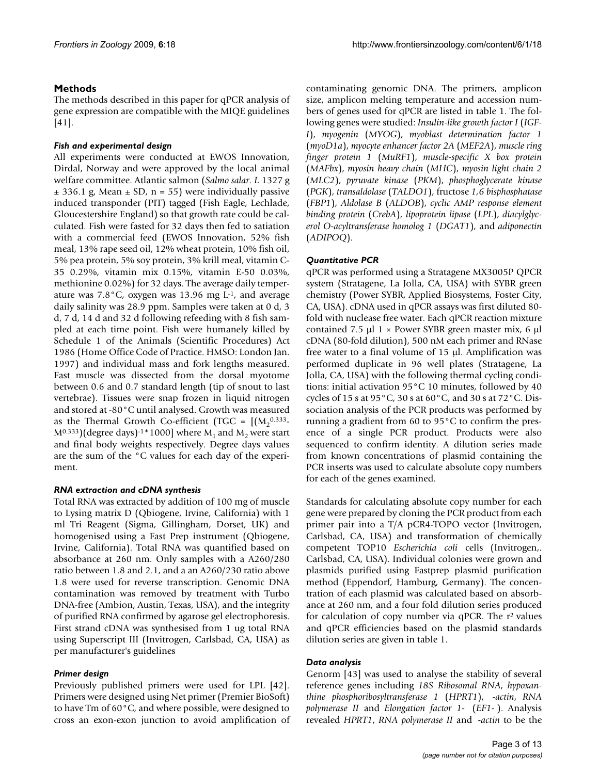# **Methods**

The methods described in this paper for qPCR analysis of gene expression are compatible with the MIQE guidelines [[41](#page-11-12)].

# *Fish and experimental design*

All experiments were conducted at EWOS Innovation, Dirdal, Norway and were approved by the local animal welfare committee. Atlantic salmon (*Salmo salar. L* 1327 g  $\pm$  336.1 g, Mean  $\pm$  SD, n = 55) were individually passive induced transponder (PIT) tagged (Fish Eagle, Lechlade, Gloucestershire England) so that growth rate could be calculated. Fish were fasted for 32 days then fed to satiation with a commercial feed (EWOS Innovation, 52% fish meal, 13% rape seed oil, 12% wheat protein, 10% fish oil, 5% pea protein, 5% soy protein, 3% krill meal, vitamin C-35 0.29%, vitamin mix 0.15%, vitamin E-50 0.03%, methionine 0.02%) for 32 days. The average daily temperature was  $7.8\degree$ C, oxygen was 13.96 mg L<sup>-1</sup>, and average daily salinity was 28.9 ppm. Samples were taken at 0 d, 3 d, 7 d, 14 d and 32 d following refeeding with 8 fish sampled at each time point. Fish were humanely killed by Schedule 1 of the Animals (Scientific Procedures) Act 1986 (Home Office Code of Practice. HMSO: London Jan. 1997) and individual mass and fork lengths measured. Fast muscle was dissected from the dorsal myotome between 0.6 and 0.7 standard length (tip of snout to last vertebrae). Tissues were snap frozen in liquid nitrogen and stored at -80°C until analysed. Growth was measured as the Thermal Growth Co-efficient (TGC =  $[(M_2^{0.333}]$  $M^{0.333}$ )(degree days)<sup>-1</sup> \* 1000] where M<sub>1</sub> and M<sub>2</sub> were start and final body weights respectively. Degree days values are the sum of the °C values for each day of the experiment.

# *RNA extraction and cDNA synthesis*

Total RNA was extracted by addition of 100 mg of muscle to Lysing matrix D (Qbiogene, Irvine, California) with 1 ml Tri Reagent (Sigma, Gillingham, Dorset, UK) and homogenised using a Fast Prep instrument (Qbiogene, Irvine, California). Total RNA was quantified based on absorbance at 260 nm. Only samples with a A260/280 ratio between 1.8 and 2.1, and a an A260/230 ratio above 1.8 were used for reverse transcription. Genomic DNA contamination was removed by treatment with Turbo DNA-free (Ambion, Austin, Texas, USA), and the integrity of purified RNA confirmed by agarose gel electrophoresis. First strand cDNA was synthesised from 1 ug total RNA using Superscript III (Invitrogen, Carlsbad, CA, USA) as per manufacturer's guidelines

# *Primer design*

Previously published primers were used for LPL [\[42](#page-11-13)]. Primers were designed using Net primer (Premier BioSoft) to have Tm of 60°C, and where possible, were designed to cross an exon-exon junction to avoid amplification of contaminating genomic DNA. The primers, amplicon size, amplicon melting temperature and accession numbers of genes used for qPCR are listed in table [1.](#page-3-0) The following genes were studied: *Insulin-like growth factor I* (*IGF-I*), *myogenin* (*MYOG*), *myoblast determination factor 1* (*myoD1a*), *myocyte enhancer factor 2A* (*MEF2A*), *muscle ring finger protein 1* (*MuRF1*), *muscle-specific X box protein* (*MAFbx*), *myosin heavy chain* (*MHC*), *myosin light chain 2* (*MLC2*), *pyruvate kinase* (*PKM*), *phosphoglycerate kinase* (*PGK*), *transaldolase* (*TALDO1*), fructose *1,6 bisphosphatase* (*FBP1*), *Aldolase B* (*ALDOB*), *cyclic AMP response element binding protein* (*CrebA*), *lipoprotein lipase* (*LPL*), *diacylglycerol O-acyltransferase homolog 1* (*DGAT1*), and *adiponectin* (*ADIPOQ*).

# *Quantitative PCR*

qPCR was performed using a Stratagene MX3005P QPCR system (Stratagene, La Jolla, CA, USA) with SYBR green chemistry (Power SYBR, Applied Biosystems, Foster City, CA, USA). cDNA used in qPCR assays was first diluted 80 fold with nuclease free water. Each qPCR reaction mixture contained 7.5 μl 1 × Power SYBR green master mix, 6 μl cDNA (80-fold dilution), 500 nM each primer and RNase free water to a final volume of 15 μl. Amplification was performed duplicate in 96 well plates (Stratagene, La Jolla, CA, USA) with the following thermal cycling conditions: initial activation 95°C 10 minutes, followed by 40 cycles of 15 s at 95°C, 30 s at 60°C, and 30 s at 72°C. Dissociation analysis of the PCR products was performed by running a gradient from 60 to 95°C to confirm the presence of a single PCR product. Products were also sequenced to confirm identity. A dilution series made from known concentrations of plasmid containing the PCR inserts was used to calculate absolute copy numbers for each of the genes examined.

Standards for calculating absolute copy number for each gene were prepared by cloning the PCR product from each primer pair into a T/A pCR4-TOPO vector (Invitrogen, Carlsbad, CA, USA) and transformation of chemically competent TOP10 *Escherichia coli* cells (Invitrogen,. Carlsbad, CA, USA). Individual colonies were grown and plasmids purified using Fastprep plasmid purification method (Eppendorf, Hamburg, Germany). The concentration of each plasmid was calculated based on absorbance at 260 nm, and a four fold dilution series produced for calculation of copy number via qPCR. The  $r^2$  values and qPCR efficiencies based on the plasmid standards dilution series are given in table [1](#page-3-0).

# *Data analysis*

Genorm [[43\]](#page-11-14) was used to analyse the stability of several reference genes including *18S Ribosomal RNA*, *hypoxanthine phosphoribosyltransferase 1* (*HPRT1*), *-actin*, *RNA polymerase II* and *Elongation factor 1-* (*EF1-* ). Analysis revealed *HPRT1*, *RNA polymerase II* and *-actin* to be the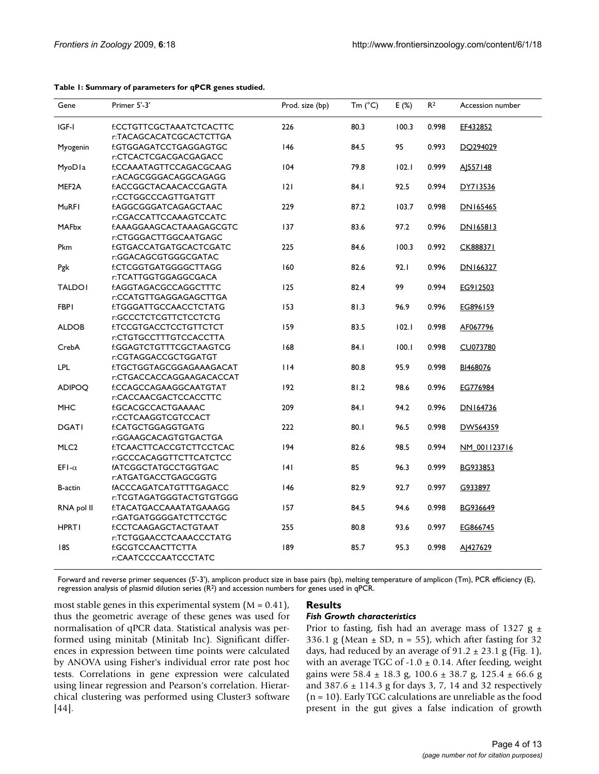| Gene               | Primer 5'-3'                                        | Prod. size (bp) | Tm $(^{\circ}C)$ | E(%)  | R <sup>2</sup> | Accession number |
|--------------------|-----------------------------------------------------|-----------------|------------------|-------|----------------|------------------|
| IGF-I              | f:CCTGTTCGCTAAATCTCACTTC<br>r:TACAGCACATCGCACTCTTGA | 226             | 80.3             | 100.3 | 0.998          | EF432852         |
| Myogenin           | f:GTGGAGATCCTGAGGAGTGC                              | 146             | 84.5             | 95    | 0.993          | DO294029         |
|                    | r:CTCACTCGACGACGAGACC                               |                 |                  |       |                |                  |
| MyoDla             | f;CCAAATAGTTCCAGACGCAAG                             | 104             | 79.8             | 102.1 | 0.999          | AJ557148         |
|                    | r:ACAGCGGGACAGGCAGAGG                               |                 |                  |       |                |                  |
| MEF <sub>2</sub> A | f:ACCGGCTACAACACCGAGTA                              | 2               | 84.I             | 92.5  | 0.994          | DY713536         |
|                    | r:CCTGGCCCAGTTGATGTT                                |                 |                  |       |                |                  |
| MuRFI              | f:AGGCGGGATCAGAGCTAAC                               | 229             | 87.2             | 103.7 | 0.998          | DN165465         |
|                    | r:CGACCATTCCAAAGTCCATC                              |                 |                  |       |                |                  |
| <b>MAFbx</b>       | f:AAAGGAAGCACTAAAGAGCGTC                            | 137             | 83.6             | 97.2  | 0.996          | DN165813         |
|                    | r:CTGGGACTTGGCAATGAGC                               |                 |                  |       |                |                  |
| Pkm                | f:GTGACCATGATGCACTCGATC                             | 225             | 84.6             | 100.3 | 0.992          | CK888371         |
|                    | r:GGACAGCGTGGGCGATAC                                |                 |                  |       |                |                  |
| Pgk                | f:CTCGGTGATGGGGCTTAGG                               | 160             | 82.6             | 92.1  | 0.996          | DN166327         |
|                    | r:TCATTGGTGGAGGCGACA                                |                 |                  |       |                |                  |
| <b>TALDOI</b>      | f:AGGTAGACGCCAGGCTTTC                               | 125             | 82.4             | 99    | 0.994          | EG912503         |
|                    | r:CCATGTTGAGGAGAGCTTGA                              |                 |                  |       |                |                  |
| <b>FBPI</b>        | f:TGGGATTGCCAACCTCTATG                              | 153             | 81.3             | 96.9  | 0.996          | EG896159         |
|                    | r:GCCCTCTCGTTCTCCTCTG                               |                 |                  |       |                |                  |
| <b>ALDOB</b>       | f:TCCGTGACCTCCTGTTCTCT                              | 159             | 83.5             | 102.1 | 0.998          | AF067796         |
|                    | r:CTGTGCCTTTGTCCACCTTA                              |                 |                  |       |                |                  |
| CrebA              | f:GGAGTCTGTTTCGCTAAGTCG                             | 168             | 84.I             | 100.1 | 0.998          | CU073780         |
|                    | r:CGTAGGACCGCTGGATGT                                |                 |                  |       |                |                  |
| <b>LPL</b>         | f:TGCTGGTAGCGGAGAAAGACAT                            | 114             | 80.8             | 95.9  | 0.998          | BI468076         |
|                    | r:CTGACCACCAGGAAGACACCAT                            |                 |                  |       |                |                  |
| <b>ADIPOQ</b>      | f:CCAGCCAGAAGGCAATGTAT                              | 192             | 81.2             | 98.6  | 0.996          | EG776984         |
|                    | r:CACCAACGACTCCACCTTC                               | 209             | 84.I             |       | 0.996          |                  |
| MHC                | f:GCACGCCACTGAAAAC<br>r:CCTCAAGGTCGTCCACT           |                 |                  | 94.2  |                | DN164736         |
| <b>DGATI</b>       | f:CATGCTGGAGGTGATG                                  | 222             | 80.1             | 96.5  | 0.998          | DW564359         |
|                    | r:GGAAGCACAGTGTGACTGA                               |                 |                  |       |                |                  |
| MLC <sub>2</sub>   | f:TCAACTTCACCGTCTTCCTCAC                            | 194             | 82.6             | 98.5  | 0.994          | NM_001123716     |
|                    | r:GCCCACAGGTTCTTCATCTCC                             |                 |                  |       |                |                  |
| EFI- $\alpha$      | fATCGGCTATGCCTGGTGAC                                | 4               | 85               | 96.3  | 0.999          | BG933853         |
|                    | r:ATGATGACCTGAGCGGTG                                |                 |                  |       |                |                  |
| <b>B-actin</b>     | fACCCAGATCATGTTTGAGACC                              | 146             | 82.9             | 92.7  | 0.997          | G933897          |
|                    | r:TCGTAGATGGGTACTGTGTGGG                            |                 |                  |       |                |                  |
| RNA pol II         | f:TACATGACCAAATATGAAAGG                             | 157             | 84.5             | 94.6  | 0.998          | BG936649         |
|                    | r:GATGATGGGGATCTTCCTGC                              |                 |                  |       |                |                  |
| <b>HPRT1</b>       | f:CCTCAAGAGCTACTGTAAT                               | 255             | 80.8             | 93.6  | 0.997          | EG866745         |
|                    | r:TCTGGAACCTCAAACCCTATG                             |                 |                  |       |                |                  |
| 18S                | f:GCGTCCAACTTCTTA                                   | 189             | 85.7             | 95.3  | 0.998          | AJ427629         |
|                    | r:CAATCCCCAATCCCTATC                                |                 |                  |       |                |                  |
|                    |                                                     |                 |                  |       |                |                  |

#### <span id="page-3-0"></span>**Table 1: Summary of parameters for qPCR genes studied.**

Forward and reverse primer sequences (5'-3'), amplicon product size in base pairs (bp), melting temperature of amplicon (Tm), PCR efficiency (E), regression analysis of plasmid dilution series (R2) and accession numbers for genes used in qPCR.

most stable genes in this experimental system  $(M = 0.41)$ , thus the geometric average of these genes was used for normalisation of qPCR data. Statistical analysis was performed using minitab (Minitab Inc). Significant differences in expression between time points were calculated by ANOVA using Fisher's individual error rate post hoc tests. Correlations in gene expression were calculated using linear regression and Pearson's correlation. Hierarchical clustering was performed using Cluster3 software [[44](#page-11-15)].

#### **Results**

#### *Fish Growth characteristics*

Prior to fasting, fish had an average mass of 1327 g  $\pm$ 336.1 g (Mean  $\pm$  SD, n = 55), which after fasting for 32 days, had reduced by an average of  $91.2 \pm 23.1$  g (Fig. [1\)](#page-4-0), with an average TGC of  $-1.0 \pm 0.14$ . After feeding, weight gains were 58.4 ± 18.3 g, 100.6 ± 38.7 g, 125.4 ± 66.6 g and 387.6 ± 114.3 g for days 3, 7, 14 and 32 respectively (n = 10). Early TGC calculations are unreliable as the food present in the gut gives a false indication of growth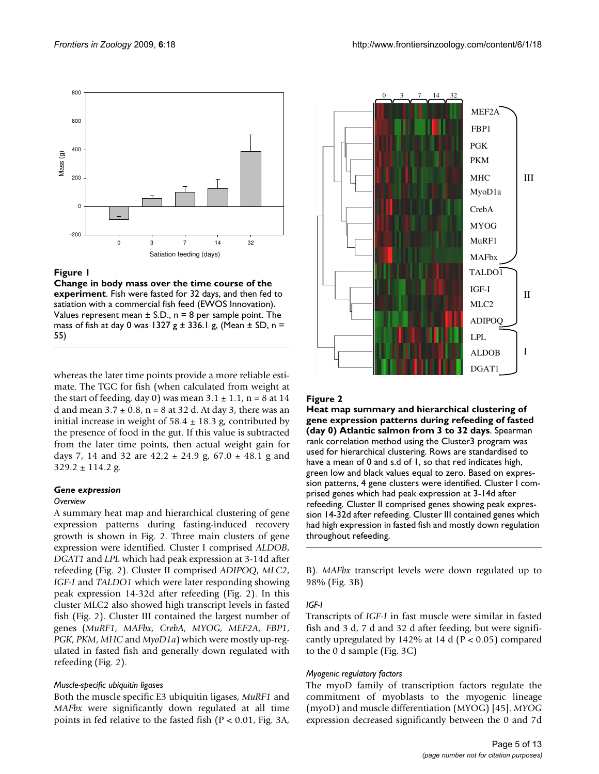<span id="page-4-0"></span>

## Figure 1

**Change in body mass over the time course of the experiment**. Fish were fasted for 32 days, and then fed to satiation with a commercial fish feed (EWOS Innovation). Values represent mean  $\pm$  S.D., n = 8 per sample point. The mass of fish at day 0 was 1327 g  $\pm$  336.1 g, (Mean  $\pm$  SD, n = 55)

whereas the later time points provide a more reliable estimate. The TGC for fish (when calculated from weight at the start of feeding, day 0) was mean  $3.1 \pm 1.1$ , n = 8 at 14 d and mean  $3.7 \pm 0.8$ , n = 8 at 32 d. At day 3, there was an initial increase in weight of  $58.4 \pm 18.3$  g, contributed by the presence of food in the gut. If this value is subtracted from the later time points, then actual weight gain for days 7, 14 and 32 are  $42.2 \pm 24.9$  g,  $67.0 \pm 48.1$  g and  $329.2 \pm 114.2$  g.

#### *Gene expression*

#### *Overview*

A summary heat map and hierarchical clustering of gene expression patterns during fasting-induced recovery growth is shown in Fig. [2.](#page-4-1) Three main clusters of gene expression were identified. Cluster I comprised *ALDOB*, *DGAT1* and *LPL* which had peak expression at 3-14d after refeeding (Fig. [2\)](#page-4-1). Cluster II comprised *ADIPOQ*, *MLC2*, *IGF-I* and *TALDO1* which were later responding showing peak expression 14-32d after refeeding (Fig. [2\)](#page-4-1). In this cluster MLC2 also showed high transcript levels in fasted fish (Fig. [2\)](#page-4-1). Cluster III contained the largest number of genes (*MuRF1, MAFbx, CrebA, MYOG, MEF2A*, *FBP1*, *PGK*, *PKM*, *MHC* and *MyoD1a*) which were mostly up-regulated in fasted fish and generally down regulated with refeeding (Fig. [2](#page-4-1)).

#### *Muscle-specific ubiquitin ligases*

Both the muscle specific E3 ubiquitin ligases, *MuRF1* and *MAFbx* were significantly down regulated at all time points in fed relative to the fasted fish (P < 0.01, Fig. [3](#page-5-0)A,

<span id="page-4-1"></span>

# Heat Figure 2

**Heat map summary and hierarchical clustering of gene expression patterns during refeeding of fasted (day 0) Atlantic salmon from 3 to 32 days**. Spearman rank correlation method using the Cluster3 program was used for hierarchical clustering. Rows are standardised to have a mean of 0 and s.d of 1, so that red indicates high, green low and black values equal to zero. Based on expression patterns, 4 gene clusters were identified. Cluster I comprised genes which had peak expression at 3-14d after refeeding. Cluster II comprised genes showing peak expression 14-32d after refeeding. Cluster III contained genes which had high expression in fasted fish and mostly down regulation throughout refeeding.

B). *MAFbx* transcript levels were down regulated up to 98% (Fig. [3B](#page-5-0))

#### *IGF-I*

Transcripts of *IGF-I* in fast muscle were similar in fasted fish and 3 d, 7 d and 32 d after feeding, but were significantly upregulated by 142% at 14 d ( $P < 0.05$ ) compared to the 0 d sample (Fig. [3C](#page-5-0))

#### *Myogenic regulatory factors*

The myoD family of transcription factors regulate the commitment of myoblasts to the myogenic lineage (myoD) and muscle differentiation (MYOG) [\[45](#page-11-16)]. *MYOG* expression decreased significantly between the 0 and 7d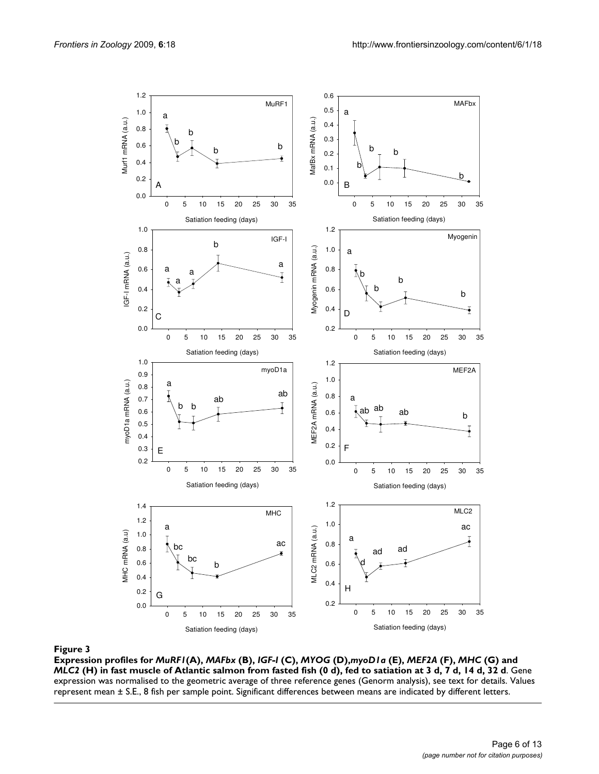<span id="page-5-0"></span>

**Expression profiles for** *MuRF1***(A),** *MAFbx* **(B),** *IGF-I* **(C),** *MYOG* **(D),***myoD1a* **(E),** *MEF2A* **(F),** *MHC* **(G) and**  *MLC2* **(H) in fast muscle of Atlantic salmon from fasted fish (0 d), fed to satiation at 3 d, 7 d, 14 d, 32 d**. Gene expression was normalised to the geometric average of three reference genes (Genorm analysis), see text for details. Values represent mean ± S.E., 8 fish per sample point. Significant differences between means are indicated by different letters.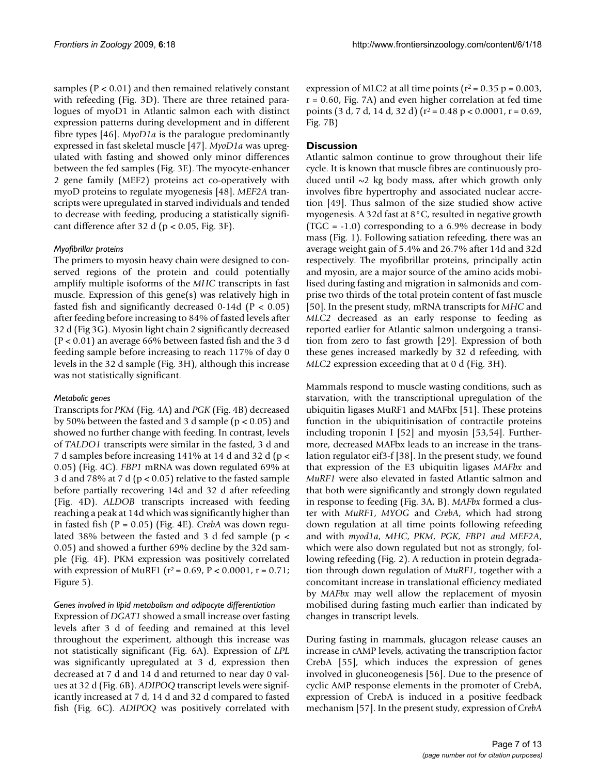samples ( $P < 0.01$ ) and then remained relatively constant with refeeding (Fig. [3](#page-5-0)D). There are three retained paralogues of myoD1 in Atlantic salmon each with distinct expression patterns during development and in different fibre types [\[46](#page-11-17)]. *MyoD1a* is the paralogue predominantly expressed in fast skeletal muscle [\[47\]](#page-11-18). *MyoD1a* was upregulated with fasting and showed only minor differences between the fed samples (Fig. [3E](#page-5-0)). The myocyte-enhancer 2 gene family (MEF2) proteins act co-operatively with myoD proteins to regulate myogenesis [\[48](#page-11-19)]. *MEF2A* transcripts were upregulated in starved individuals and tended to decrease with feeding, producing a statistically significant difference after 32 d ( $p < 0.05$ , Fig. [3F](#page-5-0)).

## *Myofibrillar proteins*

The primers to myosin heavy chain were designed to conserved regions of the protein and could potentially amplify multiple isoforms of the *MHC* transcripts in fast muscle. Expression of this gene(s) was relatively high in fasted fish and significantly decreased  $0-14d$  (P < 0.05) after feeding before increasing to 84% of fasted levels after 32 d (Fig [3](#page-5-0)G). Myosin light chain 2 significantly decreased (P < 0.01) an average 66% between fasted fish and the 3 d feeding sample before increasing to reach 117% of day 0 levels in the 32 d sample (Fig. [3H](#page-5-0)), although this increase was not statistically significant.

# *Metabolic genes*

Transcripts for *PKM* (Fig. [4](#page-7-0)A) and *PGK* (Fig. [4](#page-7-0)B) decreased by 50% between the fasted and 3 d sample ( $p < 0.05$ ) and showed no further change with feeding. In contrast, levels of *TALDO1* transcripts were similar in the fasted, 3 d and 7 d samples before increasing 141% at 14 d and 32 d (p < 0.05) (Fig. [4C](#page-7-0)). *FBP1* mRNA was down regulated 69% at 3 d and 78% at 7 d (p < 0.05) relative to the fasted sample before partially recovering 14d and 32 d after refeeding (Fig. [4D](#page-7-0)). *ALDOB* transcripts increased with feeding reaching a peak at 14d which was significantly higher than in fasted fish (P = 0.05) (Fig. [4E](#page-7-0)). *CrebA* was down regulated 38% between the fasted and 3 d fed sample ( $p <$ 0.05) and showed a further 69% decline by the 32d sample (Fig. [4F](#page-7-0)). PKM expression was positively correlated with expression of MuRF1 ( $r^2$  = 0.69, P < 0.0001, r = 0.71; Figure [5](#page-8-0)).

#### *Genes involved in lipid metabolism and adipocyte differentiation*

Expression of *DGAT1* showed a small increase over fasting levels after 3 d of feeding and remained at this level throughout the experiment, although this increase was not statistically significant (Fig. [6](#page-8-1)A). Expression of *LPL* was significantly upregulated at 3 d, expression then decreased at 7 d and 14 d and returned to near day 0 values at 32 d (Fig. [6](#page-8-1)B). *ADIPOQ* transcript levels were significantly increased at 7 d, 14 d and 32 d compared to fasted fish (Fig. [6](#page-8-1)C). *ADIPOQ* was positively correlated with

expression of MLC2 at all time points  $(r^2 = 0.35 p = 0.003$ ,  $r = 0.60$ , Fig. [7](#page-9-0)A) and even higher correlation at fed time points (3 d, 7 d, 14 d, 32 d) ( $r^2$  = 0.48 p < 0.0001, r = 0.69, Fig. [7](#page-9-0)B)

# **Discussion**

Atlantic salmon continue to grow throughout their life cycle. It is known that muscle fibres are continuously produced until  $\sim$ 2 kg body mass, after which growth only involves fibre hypertrophy and associated nuclear accretion [[49\]](#page-11-20). Thus salmon of the size studied show active myogenesis. A 32d fast at 8°C, resulted in negative growth (TGC = -1.0) corresponding to a 6.9% decrease in body mass (Fig. [1\)](#page-4-0). Following satiation refeeding, there was an average weight gain of 5.4% and 26.7% after 14d and 32d respectively. The myofibrillar proteins, principally actin and myosin, are a major source of the amino acids mobilised during fasting and migration in salmonids and comprise two thirds of the total protein content of fast muscle [[50](#page-11-21)]. In the present study, mRNA transcripts for *MHC* and *MLC2* decreased as an early response to feeding as reported earlier for Atlantic salmon undergoing a transition from zero to fast growth [[29\]](#page-11-0). Expression of both these genes increased markedly by 32 d refeeding, with *MLC2* expression exceeding that at 0 d (Fig. [3](#page-5-0)H).

Mammals respond to muscle wasting conditions, such as starvation, with the transcriptional upregulation of the ubiquitin ligases MuRF1 and MAFbx [\[51](#page-11-22)]. These proteins function in the ubiquitinisation of contractile proteins including troponin I [\[52](#page-11-23)] and myosin [\[53](#page-11-24),[54](#page-11-25)]. Furthermore, decreased MAFbx leads to an increase in the translation regulator eif3-f [\[38\]](#page-11-9). In the present study, we found that expression of the E3 ubiquitin ligases *MAFbx* and *MuRF1* were also elevated in fasted Atlantic salmon and that both were significantly and strongly down regulated in response to feeding (Fig. [3A](#page-5-0), B). *MAFbx* formed a cluster with *MuRF1*, *MYOG* and *CrebA*, which had strong down regulation at all time points following refeeding and with *myod1a*, *MHC*, *PKM, PGK, FBP1 and MEF2A*, which were also down regulated but not as strongly, following refeeding (Fig. [2\)](#page-4-1). A reduction in protein degradation through down regulation of *MuRF1*, together with a concomitant increase in translational efficiency mediated by *MAFbx* may well allow the replacement of myosin mobilised during fasting much earlier than indicated by changes in transcript levels.

During fasting in mammals, glucagon release causes an increase in cAMP levels, activating the transcription factor CrebA [\[55](#page-11-26)], which induces the expression of genes involved in gluconeogenesis [[56\]](#page-11-27). Due to the presence of cyclic AMP response elements in the promoter of CrebA, expression of CrebA is induced in a positive feedback mechanism [\[57](#page-11-28)]. In the present study, expression of *CrebA*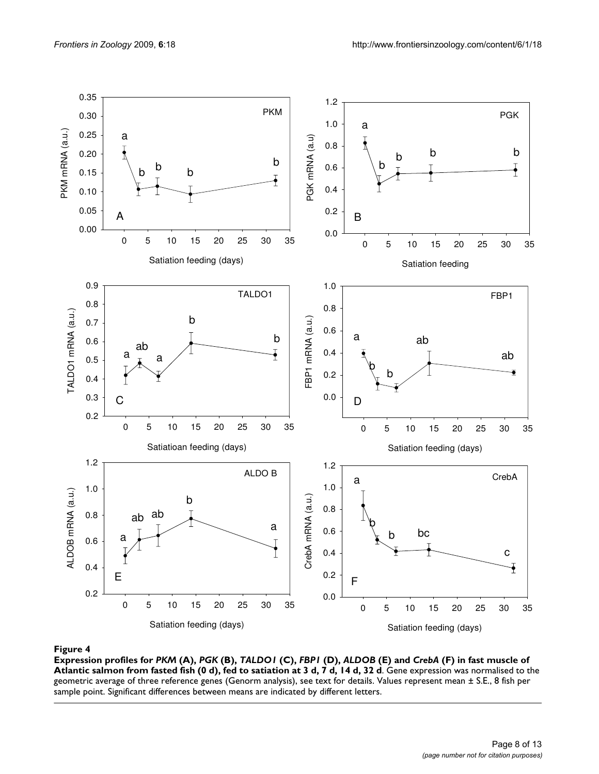<span id="page-7-0"></span>

# **Figure 4** Production of the contract of the contract of the contract of the contract of the contract of the contract of the contract of the contract of the contract of the contract of the contract of the contract of the c

**Expression profiles for** *PKM* **(A),** *PGK* **(B),** *TALDO1* **(C),** *FBP1* **(D),** *ALDOB* **(E) and** *CrebA* **(F) in fast muscle of Atlantic salmon from fasted fish (0 d), fed to satiation at 3 d, 7 d, 14 d, 32 d**. Gene expression was normalised to the geometric average of three reference genes (Genorm analysis), see text for details. Values represent mean ± S.E., 8 fish per sample point. Significant differences between means are indicated by different letters.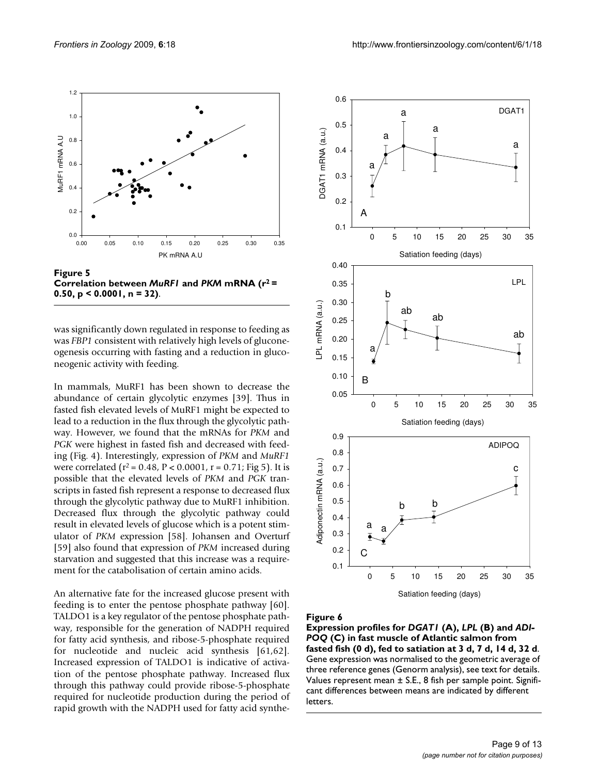<span id="page-8-0"></span>1.2

0.6



**Correlation between** *MuRF1* **and** *PKM* **mRNA (r2 = 0.50, p < 0.0001, n = 32)**.

was significantly down regulated in response to feeding as was *FBP1* consistent with relatively high levels of gluconeogenesis occurring with fasting and a reduction in gluconeogenic activity with feeding.

In mammals, MuRF1 has been shown to decrease the abundance of certain glycolytic enzymes [\[39\]](#page-11-10). Thus in fasted fish elevated levels of MuRF1 might be expected to lead to a reduction in the flux through the glycolytic pathway. However, we found that the mRNAs for *PKM* and *PGK* were highest in fasted fish and decreased with feeding (Fig. [4](#page-7-0)). Interestingly, expression of *PKM* and *MuRF1* were correlated ( $r^2$  = 0.48,  $P < 0.0001$ ,  $r = 0.71$ ; Fig [5](#page-8-0)). It is possible that the elevated levels of *PKM* and *PGK* transcripts in fasted fish represent a response to decreased flux through the glycolytic pathway due to MuRF1 inhibition. Decreased flux through the glycolytic pathway could result in elevated levels of glucose which is a potent stimulator of *PKM* expression [\[58](#page-11-29)]. Johansen and Overturf [[59](#page-11-30)] also found that expression of *PKM* increased during starvation and suggested that this increase was a requirement for the catabolisation of certain amino acids.

An alternative fate for the increased glucose present with feeding is to enter the pentose phosphate pathway [\[60](#page-11-31)]. TALDO1 is a key regulator of the pentose phosphate pathway, responsible for the generation of NADPH required for fatty acid synthesis, and ribose-5-phosphate required for nucleotide and nucleic acid synthesis [[61](#page-11-32)[,62](#page-11-33)]. Increased expression of TALDO1 is indicative of activation of the pentose phosphate pathway. Increased flux through this pathway could provide ribose-5-phosphate required for nucleotide production during the period of rapid growth with the NADPH used for fatty acid synthe-

<span id="page-8-1"></span>

Satiation feeding (days)

#### Eigure 6

**Expression profiles for** *DGAT1* **(A),** *LPL* **(B) and** *ADI-POQ* **(C) in fast muscle of Atlantic salmon from fasted fish (0 d), fed to satiation at 3 d, 7 d, 14 d, 32 d**. Gene expression was normalised to the geometric average of three reference genes (Genorm analysis), see text for details. Values represent mean ± S.E., 8 fish per sample point. Significant differences between means are indicated by different letters.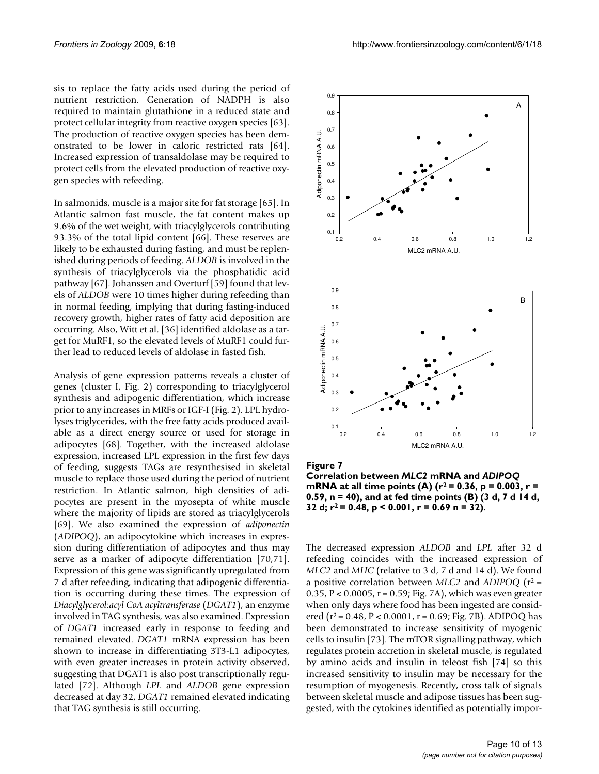sis to replace the fatty acids used during the period of nutrient restriction. Generation of NADPH is also required to maintain glutathione in a reduced state and protect cellular integrity from reactive oxygen species [\[63](#page-11-34)]. The production of reactive oxygen species has been demonstrated to be lower in caloric restricted rats [\[64](#page-11-35)]. Increased expression of transaldolase may be required to protect cells from the elevated production of reactive oxygen species with refeeding.

In salmonids, muscle is a major site for fat storage [\[65\]](#page-11-36). In Atlantic salmon fast muscle, the fat content makes up 9.6% of the wet weight, with triacylglycerols contributing 93.3% of the total lipid content [[66\]](#page-11-37). These reserves are likely to be exhausted during fasting, and must be replenished during periods of feeding. *ALDOB* is involved in the synthesis of triacylglycerols via the phosphatidic acid pathway [\[67](#page-11-38)]. Johanssen and Overturf [[59](#page-11-30)] found that levels of *ALDOB* were 10 times higher during refeeding than in normal feeding, implying that during fasting-induced recovery growth, higher rates of fatty acid deposition are occurring. Also, Witt et al. [\[36](#page-11-7)] identified aldolase as a target for MuRF1, so the elevated levels of MuRF1 could further lead to reduced levels of aldolase in fasted fish.

Analysis of gene expression patterns reveals a cluster of genes (cluster I, Fig. [2](#page-4-1)) corresponding to triacylglycerol synthesis and adipogenic differentiation, which increase prior to any increases in MRFs or IGF-I (Fig. [2\)](#page-4-1). LPL hydrolyses triglycerides, with the free fatty acids produced available as a direct energy source or used for storage in adipocytes [\[68](#page-11-39)]. Together, with the increased aldolase expression, increased LPL expression in the first few days of feeding, suggests TAGs are resynthesised in skeletal muscle to replace those used during the period of nutrient restriction. In Atlantic salmon, high densities of adipocytes are present in the myosepta of white muscle where the majority of lipids are stored as triacylglycerols [[69](#page-11-40)]. We also examined the expression of *adiponectin* (*ADIPOQ*), an adipocytokine which increases in expression during differentiation of adipocytes and thus may serve as a marker of adipocyte differentiation [[70](#page-12-0)[,71](#page-12-1)]. Expression of this gene was significantly upregulated from 7 d after refeeding, indicating that adipogenic differentiation is occurring during these times. The expression of *Diacylglycerol:acyl CoA acyltransferase* (*DGAT1*), an enzyme involved in TAG synthesis, was also examined. Expression of *DGAT1* increased early in response to feeding and remained elevated. *DGAT1* mRNA expression has been shown to increase in differentiating 3T3-L1 adipocytes, with even greater increases in protein activity observed, suggesting that DGAT1 is also post transcriptionally regulated [[72\]](#page-12-2). Although *LPL* and *ALDOB* gene expression decreased at day 32, *DGAT1* remained elevated indicating that TAG synthesis is still occurring.

<span id="page-9-0"></span>

Figure 7 **Correlation between** *MLC2* **mRNA and** *ADIPOQ*  **mRNA** at all time points (A) ( $r^2$  = 0.36, p = 0.003, r = **0.59, n = 40), and at fed time points (B) (3 d, 7 d 14 d, 32 d; r2 = 0.48, p < 0.001, r = 0.69 n = 32)**.

The decreased expression *ALDOB* and *LPL* after 32 d refeeding coincides with the increased expression of *MLC2* and *MHC* (relative to 3 d, 7 d and 14 d). We found a positive correlation between *MLC2* and *ADIPOQ* (r2 = 0.35, P < 0.0005, r = 0.59; Fig. [7](#page-9-0)A), which was even greater when only days where food has been ingested are considered ( $r^2$  = 0.48, P < 0.0001, r = 0.69; Fig. [7B](#page-9-0)). ADIPOQ has been demonstrated to increase sensitivity of myogenic cells to insulin [[73\]](#page-12-3). The mTOR signalling pathway, which regulates protein accretion in skeletal muscle, is regulated by amino acids and insulin in teleost fish [\[74](#page-12-4)] so this increased sensitivity to insulin may be necessary for the resumption of myogenesis. Recently, cross talk of signals between skeletal muscle and adipose tissues has been suggested, with the cytokines identified as potentially impor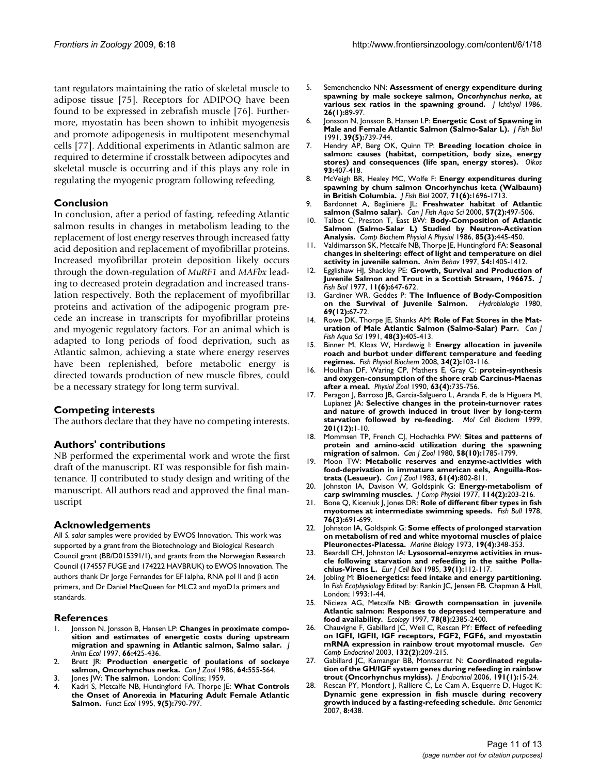tant regulators maintaining the ratio of skeletal muscle to adipose tissue [\[75](#page-12-5)]. Receptors for ADIPOQ have been found to be expressed in zebrafish muscle [\[76](#page-12-6)]. Furthermore, myostatin has been shown to inhibit myogenesis and promote adipogenesis in multipotent mesenchymal cells [[77\]](#page-12-7). Additional experiments in Atlantic salmon are required to determine if crosstalk between adipocytes and skeletal muscle is occurring and if this plays any role in regulating the myogenic program following refeeding.

# **Conclusion**

In conclusion, after a period of fasting, refeeding Atlantic salmon results in changes in metabolism leading to the replacement of lost energy reserves through increased fatty acid deposition and replacement of myofibrillar proteins. Increased myofibrillar protein deposition likely occurs through the down-regulation of *MuRF1* and *MAFbx* leading to decreased protein degradation and increased translation respectively. Both the replacement of myofibrillar proteins and activation of the adipogenic program precede an increase in transcripts for myofibrillar proteins and myogenic regulatory factors. For an animal which is adapted to long periods of food deprivation, such as Atlantic salmon, achieving a state where energy reserves have been replenished, before metabolic energy is directed towards production of new muscle fibres, could be a necessary strategy for long term survival.

# **Competing interests**

The authors declare that they have no competing interests.

# **Authors' contributions**

NB performed the experimental work and wrote the first draft of the manuscript. RT was responsible for fish maintenance. IJ contributed to study design and writing of the manuscript. All authors read and approved the final manuscript

# **Acknowledgements**

All *S. salar* samples were provided by EWOS Innovation. This work was supported by a grant from the Biotechnology and Biological Research Council grant (BB/D015391/1), and grants from the Norwegian Research Council (174557 FUGE and 174222 HAVBRUK) to EWOS Innovation. The authors thank Dr Jorge Fernandes for EF1alpha, RNA pol II and β actin primers, and Dr Daniel MacQueen for MLC2 and myoD1a primers and standards.

#### **References**

- <span id="page-10-0"></span>Jonsson N, Jonsson B, Hansen LP: Changes in proximate compo**sition and estimates of energetic costs during upstream migration and spawning in Atlantic salmon, Salmo salar.** *J Anim Ecol* 1997, **66:**425-436.
- <span id="page-10-1"></span>2. Brett JR: **Production energetic of poulations of sockeye salmon, Oncorhynchus nerka.** *Can J Zool* 1986, **64:**555-564.
- <span id="page-10-2"></span>Jones JW: The salmon. London: Collins; 1959.
- <span id="page-10-3"></span>4. Kadri S, Metcalfe NB, Huntingford FA, Thorpe JE: **What Controls the Onset of Anorexia in Maturing Adult Female Atlantic Salmon.** *Funct Ecol* 1995, **9(5):**790-797.
- <span id="page-10-4"></span>5. Semenchencko NN: **Assessment of energy expenditure during spawning by male sockeye salmon,** *Oncorhynchus nerka***, at various sex ratios in the spawning ground.** *J Ichthyol* 1986, **26(1):**89-97.
- 6. Jonsson N, Jonsson B, Hansen LP: **Energetic Cost of Spawning in Male and Female Atlantic Salmon (Salmo-Salar L).** *J Fish Biol* 1991, **39(5):**739-744.
- 7. Hendry AP, Berg OK, Quinn TP: **Breeding location choice in salmon: causes (habitat, competition, body size, energy stores) and consequences (life span, energy stores).** *Oikos* **93:**407-418.
- <span id="page-10-5"></span>8. McVeigh BR, Healey MC, Wolfe F: **Energy expenditures during spawning by chum salmon Oncorhynchus keta (Walbaum) in British Columbia.** *J Fish Biol* 2007, **71(6):**1696-1713.
- <span id="page-10-6"></span>9. Bardonnet A, Bagliniere JL: **Freshwater habitat of Atlantic salmon (Salmo salar).** *Can J Fish Aqua Sci* 2000, **57(2):**497-506.
- <span id="page-10-7"></span>10. Talbot C, Preston T, East BW: **Body-Composition of Atlantic Salmon (Salmo-Salar L) Studied by Neutron-Activation Analysis.** *Comp Biochem Physiol A Physiol* 1986, **85(3):**445-450.
- <span id="page-10-8"></span>11. Valdimarsson SK, Metcalfe NB, Thorpe JE, Huntingford FA: **[Seasonal](http://www.ncbi.nlm.nih.gov/entrez/query.fcgi?cmd=Retrieve&db=PubMed&dopt=Abstract&list_uids=9521797) [changes in sheltering: effect of light and temperature on diel](http://www.ncbi.nlm.nih.gov/entrez/query.fcgi?cmd=Retrieve&db=PubMed&dopt=Abstract&list_uids=9521797) [activity in juvenile salmon.](http://www.ncbi.nlm.nih.gov/entrez/query.fcgi?cmd=Retrieve&db=PubMed&dopt=Abstract&list_uids=9521797)** *Anim Behav* 1997, **54:**1405-1412.
- <span id="page-10-9"></span>12. Egglishaw HJ, Shackley PE: **Growth, Survival and Production of Juvenile Salmon and Trout in a Scottish Stream, 196675.** *J Fish Biol* 1977, **11(6):**647-672.
- 13. Gardiner WR, Geddes P: **The Influence of Body-Composition on the Survival of Juvenile Salmon.** *Hydrobiologia* 1980, **69(12):**67-72.
- <span id="page-10-10"></span>14. Rowe DK, Thorpe JE, Shanks AM: **Role of Fat Stores in the Maturation of Male Atlantic Salmon (Salmo-Salar) Parr.** *Can J Fish Aqua Sci* 1991, **48(3):**405-413.
- <span id="page-10-11"></span>15. Binner M, Kloas W, Hardewig I: **[Energy allocation in juvenile](http://www.ncbi.nlm.nih.gov/entrez/query.fcgi?cmd=Retrieve&db=PubMed&dopt=Abstract&list_uids=18649028) [roach and burbot under different temperature and feeding](http://www.ncbi.nlm.nih.gov/entrez/query.fcgi?cmd=Retrieve&db=PubMed&dopt=Abstract&list_uids=18649028) [regimes.](http://www.ncbi.nlm.nih.gov/entrez/query.fcgi?cmd=Retrieve&db=PubMed&dopt=Abstract&list_uids=18649028)** *Fish Physiol Biochem* 2008, **34(2):**103-116.
- <span id="page-10-12"></span>16. Houlihan DF, Waring CP, Mathers E, Gray C: **protein-synthesis and oxygen-consumption of the shore crab Carcinus-Maenas after a meal.** *Physiol Zool* 1990, **63(4):**735-756.
- <span id="page-10-13"></span>17. Peragon J, Barroso JB, Garcia-Salguero L, Aranda F, de la Higuera M, Lupianez JA: **[Selective changes in the protein-turnover rates](http://www.ncbi.nlm.nih.gov/entrez/query.fcgi?cmd=Retrieve&db=PubMed&dopt=Abstract&list_uids=10630616) [and nature of growth induced in trout liver by long-term](http://www.ncbi.nlm.nih.gov/entrez/query.fcgi?cmd=Retrieve&db=PubMed&dopt=Abstract&list_uids=10630616) [starvation followed by re-feeding.](http://www.ncbi.nlm.nih.gov/entrez/query.fcgi?cmd=Retrieve&db=PubMed&dopt=Abstract&list_uids=10630616)** *Mol Cell Biochem* 1999, **201(12):**1-10.
- <span id="page-10-14"></span>18. Mommsen TP, French CJ, Hochachka PW: **Sites and patterns of protein and amino-acid utilization during the spawning migration of salmon.** *Can J Zool* 1980, **58(10):**1785-1799.
- <span id="page-10-15"></span>19. Moon TW: **Metabolic reserves and enzyme-activities with food-deprivation in immature american eels, Anguilla-Rostrata (Lesueur).** *Can J Zool* 1983, **61(4):**802-811.
- <span id="page-10-16"></span>20. Johnston IA, Davison W, Goldspink G: **Energy-metabolism of carp swimming muscles.** *J Comp Physiol* 1977, **114(2):**203-216.
- <span id="page-10-17"></span>21. Bone Q, Kiceniuk J, Jones DR: **Role of different fiber types in fish myotomes at intermediate swimming speeds.** *Fish Bull* 1978, **76(3):**691-699.
- <span id="page-10-18"></span>22. Johnston IA, Goldspink G: **Some effects of prolonged starvation on metabolism of red and white myotomal muscles of plaice Pleuronectes-Platessa.** *Marine Biology* 1973, **19(4):**348-353.
- <span id="page-10-19"></span>23. Beardall CH, Johnston IA: **[Lysosomal-enzyme activities in mus](http://www.ncbi.nlm.nih.gov/entrez/query.fcgi?cmd=Retrieve&db=PubMed&dopt=Abstract&list_uids=3910436)[cle following starvation and refeeding in the saithe Polla](http://www.ncbi.nlm.nih.gov/entrez/query.fcgi?cmd=Retrieve&db=PubMed&dopt=Abstract&list_uids=3910436)[chius-Virens L.](http://www.ncbi.nlm.nih.gov/entrez/query.fcgi?cmd=Retrieve&db=PubMed&dopt=Abstract&list_uids=3910436)** *Eur J Cell Biol* 1985, **39(1):**112-117.
- <span id="page-10-20"></span>24. Jobling M: **Bioenergetics: feed intake and energy partitioning.** In *Fish Ecophysiology* Edited by: Rankin JC, Jensen FB. Chapman & Hall, London; 1993:1-44.
- <span id="page-10-21"></span>25. Nicieza AG, Metcalfe NB: **Growth compensation in juvenile Atlantic salmon: Responses to depressed temperature and food availability.** *Ecology* 1997, **78(8):**2385-2400.
- <span id="page-10-22"></span>26. Chauvigne F, Gabillard JC, Weil C, Rescan PY: **[Effect of refeeding](http://www.ncbi.nlm.nih.gov/entrez/query.fcgi?cmd=Retrieve&db=PubMed&dopt=Abstract&list_uids=12812767) [on IGFI, IGFII, IGF receptors, FGF2, FGF6, and myostatin](http://www.ncbi.nlm.nih.gov/entrez/query.fcgi?cmd=Retrieve&db=PubMed&dopt=Abstract&list_uids=12812767) [mRNA expression in rainbow trout myotomal muscle.](http://www.ncbi.nlm.nih.gov/entrez/query.fcgi?cmd=Retrieve&db=PubMed&dopt=Abstract&list_uids=12812767)** *Gen Comp Endocrinol* 2003, **132(2):**209-215.
- 27. Gabillard JC, Kamangar BB, Montserrat N: **[Coordinated regula](http://www.ncbi.nlm.nih.gov/entrez/query.fcgi?cmd=Retrieve&db=PubMed&dopt=Abstract&list_uids=17065385)[tion of the GH/IGF system genes during refeeding in rainbow](http://www.ncbi.nlm.nih.gov/entrez/query.fcgi?cmd=Retrieve&db=PubMed&dopt=Abstract&list_uids=17065385) [trout \(Oncorhynchus mykiss\).](http://www.ncbi.nlm.nih.gov/entrez/query.fcgi?cmd=Retrieve&db=PubMed&dopt=Abstract&list_uids=17065385)** *J Endocrinol* 2006, **191(1):**15-24.
- <span id="page-10-23"></span>28. Rescan PY, Montfort J, Ralliere C, Le Cam A, Esquerre D, Hugot K: **[Dynamic gene expression in fish muscle during recovery](http://www.ncbi.nlm.nih.gov/entrez/query.fcgi?cmd=Retrieve&db=PubMed&dopt=Abstract&list_uids=18045468) [growth induced by a fasting-refeeding schedule.](http://www.ncbi.nlm.nih.gov/entrez/query.fcgi?cmd=Retrieve&db=PubMed&dopt=Abstract&list_uids=18045468)** *Bmc Genomics* 2007, **8:**438.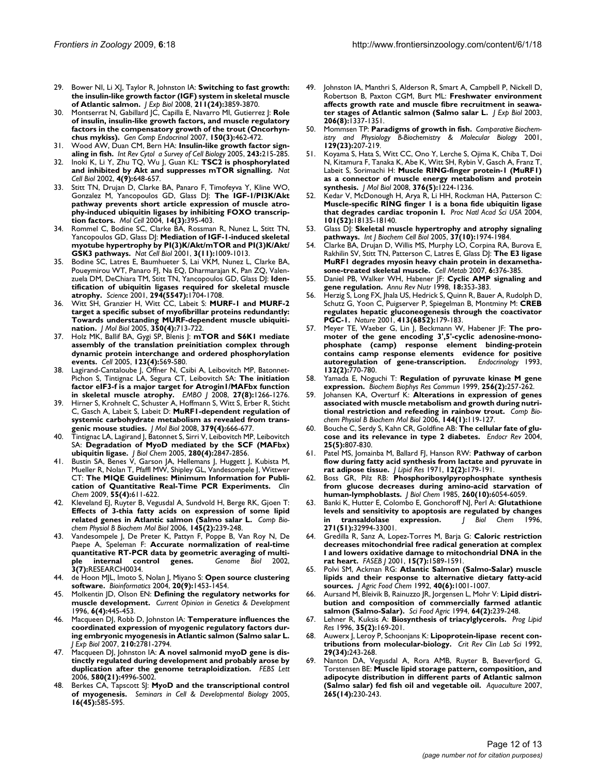- <span id="page-11-0"></span>29. Bower NI, Li XJ, Taylor R, Johnston IA: **[Switching to fast growth:](http://www.ncbi.nlm.nih.gov/entrez/query.fcgi?cmd=Retrieve&db=PubMed&dopt=Abstract&list_uids=19043058) [the insulin-like growth factor \(IGF\) system in skeletal muscle](http://www.ncbi.nlm.nih.gov/entrez/query.fcgi?cmd=Retrieve&db=PubMed&dopt=Abstract&list_uids=19043058) [of Atlantic salmon.](http://www.ncbi.nlm.nih.gov/entrez/query.fcgi?cmd=Retrieve&db=PubMed&dopt=Abstract&list_uids=19043058)** *J Exp Biol* 2008, **211(24):**3859-3870.
- <span id="page-11-1"></span>30. Montserrat N, Gabillard JC, Capilla E, Navarro MI, Gutierrez J: **[Role](http://www.ncbi.nlm.nih.gov/entrez/query.fcgi?cmd=Retrieve&db=PubMed&dopt=Abstract&list_uids=17196198) [of insulin, insulin-like growth factors, and muscle regulatory](http://www.ncbi.nlm.nih.gov/entrez/query.fcgi?cmd=Retrieve&db=PubMed&dopt=Abstract&list_uids=17196198) factors in the compensatory growth of the trout (Oncorhyn[chus mykiss\).](http://www.ncbi.nlm.nih.gov/entrez/query.fcgi?cmd=Retrieve&db=PubMed&dopt=Abstract&list_uids=17196198)** *Gen Comp Endocrinol* 2007, **150(3):**462-472.
- <span id="page-11-2"></span>31. Wood AW, Duan CM, Bern HA: **Insulin-like growth factor signaling in fish.** *Int Rev Cytol a Survey of Cell Biology* 2005, **243:**215-285.
- <span id="page-11-3"></span>32. Inoki K, Li Y, Zhu TQ, Wu J, Guan KL: **[TSC2 is phosphorylated](http://www.ncbi.nlm.nih.gov/entrez/query.fcgi?cmd=Retrieve&db=PubMed&dopt=Abstract&list_uids=12172553) [and inhibited by Akt and suppresses mTOR signalling.](http://www.ncbi.nlm.nih.gov/entrez/query.fcgi?cmd=Retrieve&db=PubMed&dopt=Abstract&list_uids=12172553)** *Nat Cell Biol* 2002, **4(9):**648-657.
- <span id="page-11-4"></span>33. Stitt TN, Drujan D, Clarke BA, Panaro F, Timofeyva Y, Kline WO, Gonzalez M, Yancopoulos GD, Glass DJ: **[The IGF-1/PI3K/Akt](http://www.ncbi.nlm.nih.gov/entrez/query.fcgi?cmd=Retrieve&db=PubMed&dopt=Abstract&list_uids=15125842) [pathway prevents short article expression of muscle atro](http://www.ncbi.nlm.nih.gov/entrez/query.fcgi?cmd=Retrieve&db=PubMed&dopt=Abstract&list_uids=15125842)phy-induced ubiquitin ligases by inhibiting FOXO transcrip[tion factors.](http://www.ncbi.nlm.nih.gov/entrez/query.fcgi?cmd=Retrieve&db=PubMed&dopt=Abstract&list_uids=15125842)** *Mol Cell* 2004, **14(3):**395-403.
- <span id="page-11-5"></span>34. Rommel C, Bodine SC, Clarke BA, Rossman R, Nunez L, Stitt TN, Yancopoulos GD, Glass DJ: **[Mediation of IGF-1-induced skeletal](http://www.ncbi.nlm.nih.gov/entrez/query.fcgi?cmd=Retrieve&db=PubMed&dopt=Abstract&list_uids=11715022) [myotube hypertrophy by PI\(3\)K/Akt/mTOR and PI\(3\)K/Akt/](http://www.ncbi.nlm.nih.gov/entrez/query.fcgi?cmd=Retrieve&db=PubMed&dopt=Abstract&list_uids=11715022) [GSK3 pathways.](http://www.ncbi.nlm.nih.gov/entrez/query.fcgi?cmd=Retrieve&db=PubMed&dopt=Abstract&list_uids=11715022)** *Nat Cell Biol* 2001, **3(11):**1009-1013.
- <span id="page-11-6"></span>35. Bodine SC, Latres E, Baumhueter S, Lai VKM, Nunez L, Clarke BA, Poueymirou WT, Panaro FJ, Na EQ, Dharmarajan K, Pan ZQ, Valenzuela DM, DeChiara TM, Stitt TN, Yancopoulos GD, Glass DJ: **[Iden](http://www.ncbi.nlm.nih.gov/entrez/query.fcgi?cmd=Retrieve&db=PubMed&dopt=Abstract&list_uids=11679633)[tification of ubiquitin ligases required for skeletal muscle](http://www.ncbi.nlm.nih.gov/entrez/query.fcgi?cmd=Retrieve&db=PubMed&dopt=Abstract&list_uids=11679633) [atrophy.](http://www.ncbi.nlm.nih.gov/entrez/query.fcgi?cmd=Retrieve&db=PubMed&dopt=Abstract&list_uids=11679633)** *Science* 2001, **294(5547):**1704-1708.
- <span id="page-11-7"></span>36. Witt SH, Granzier H, Witt CC, Labeit S: **[MURF-1 and MURF-2](http://www.ncbi.nlm.nih.gov/entrez/query.fcgi?cmd=Retrieve&db=PubMed&dopt=Abstract&list_uids=15967462) [target a specific subset of myofibrillar proteins redundantly:](http://www.ncbi.nlm.nih.gov/entrez/query.fcgi?cmd=Retrieve&db=PubMed&dopt=Abstract&list_uids=15967462) Towards understanding MURF-dependent muscle ubiquiti[nation.](http://www.ncbi.nlm.nih.gov/entrez/query.fcgi?cmd=Retrieve&db=PubMed&dopt=Abstract&list_uids=15967462)** *J Mol Biol* 2005, **350(4):**713-722.
- <span id="page-11-8"></span>37. Holz MK, Ballif BA, Gygi SP, Blenis J: **[mTOR and S6K1 mediate](http://www.ncbi.nlm.nih.gov/entrez/query.fcgi?cmd=Retrieve&db=PubMed&dopt=Abstract&list_uids=16286006) [assembly of the translation preinitiation complex through](http://www.ncbi.nlm.nih.gov/entrez/query.fcgi?cmd=Retrieve&db=PubMed&dopt=Abstract&list_uids=16286006) dynamic protein interchange and ordered phosphorylation [events.](http://www.ncbi.nlm.nih.gov/entrez/query.fcgi?cmd=Retrieve&db=PubMed&dopt=Abstract&list_uids=16286006)** *Cell* 2005, **123(4):**569-580.
- <span id="page-11-9"></span>38. Lagirand-Cantaloube J, Offner N, Csibi A, Leibovitch MP, Batonnet-Pichon S, Tintignac LA, Segura CT, Leibovitch SA: **[The initiation](http://www.ncbi.nlm.nih.gov/entrez/query.fcgi?cmd=Retrieve&db=PubMed&dopt=Abstract&list_uids=18354498) [factor eIF3-f is a major target for Atrogin1/MAFbx function](http://www.ncbi.nlm.nih.gov/entrez/query.fcgi?cmd=Retrieve&db=PubMed&dopt=Abstract&list_uids=18354498) [in skeletal muscle atrophy.](http://www.ncbi.nlm.nih.gov/entrez/query.fcgi?cmd=Retrieve&db=PubMed&dopt=Abstract&list_uids=18354498)** *EMBO J* 2008, **27(8):**1266-1276.
- <span id="page-11-10"></span>39. Hirner S, Krohnelt C, Schuster A, Hoffmann S, Witt S, Erber R, Sticht C, Gasch A, Labeit S, Labeit D: **[MuRF1-dependent regulation of](http://www.ncbi.nlm.nih.gov/entrez/query.fcgi?cmd=Retrieve&db=PubMed&dopt=Abstract&list_uids=18468620) [systemic carbohydrate metabolism as revealed from trans](http://www.ncbi.nlm.nih.gov/entrez/query.fcgi?cmd=Retrieve&db=PubMed&dopt=Abstract&list_uids=18468620)[genic mouse studies.](http://www.ncbi.nlm.nih.gov/entrez/query.fcgi?cmd=Retrieve&db=PubMed&dopt=Abstract&list_uids=18468620)** *J Mol Biol* 2008, **379(4):**666-677.
- <span id="page-11-11"></span>40. Tintignac LA, Lagirand J, Batonnet S, Sirri V, Leibovitch MP, Leibovitch SA: **[Degradation of MyoD mediated by the SCF \(MAFbx\)](http://www.ncbi.nlm.nih.gov/entrez/query.fcgi?cmd=Retrieve&db=PubMed&dopt=Abstract&list_uids=15531760) [ubiquitin ligase.](http://www.ncbi.nlm.nih.gov/entrez/query.fcgi?cmd=Retrieve&db=PubMed&dopt=Abstract&list_uids=15531760)** *J Biol Chem* 2005, **280(4):**2847-2856.
- <span id="page-11-12"></span>41. Bustin SA, Benes V, Garson JA, Hellemans J, Huggett J, Kubista M, Mueller R, Nolan T, Pfaffl MW, Shipley GL, Vandesompele J, Wittwer CT: **[The MIQE Guidelines: Minimum Information for Publi](http://www.ncbi.nlm.nih.gov/entrez/query.fcgi?cmd=Retrieve&db=PubMed&dopt=Abstract&list_uids=19246619)[cation of Quantitative Real-Time PCR Experiments.](http://www.ncbi.nlm.nih.gov/entrez/query.fcgi?cmd=Retrieve&db=PubMed&dopt=Abstract&list_uids=19246619)** *Clin Chem* 2009, **55(4):**611-622.
- <span id="page-11-13"></span>42. Kleveland EJ, Ruyter B, Vegusdal A, Sundvold H, Berge RK, Gjoen T: **[Effects of 3-thia fatty acids on expression of some lipid](http://www.ncbi.nlm.nih.gov/entrez/query.fcgi?cmd=Retrieve&db=PubMed&dopt=Abstract&list_uids=16971150) [related genes in Atlantic salmon \(Salmo salar L.](http://www.ncbi.nlm.nih.gov/entrez/query.fcgi?cmd=Retrieve&db=PubMed&dopt=Abstract&list_uids=16971150)** *Comp Biochem Physiol B Biochem Mol Biol* 2006, **145(2):**239-248.
- <span id="page-11-14"></span>Vandesompele J, De Preter K, Pattyn F, Poppe B, Van Roy N, De Paepe A, Speleman F: **[Accurate normalization of real-time](http://www.ncbi.nlm.nih.gov/entrez/query.fcgi?cmd=Retrieve&db=PubMed&dopt=Abstract&list_uids=12184808) [quantitative RT-PCR data by geometric averaging of multi](http://www.ncbi.nlm.nih.gov/entrez/query.fcgi?cmd=Retrieve&db=PubMed&dopt=Abstract&list_uids=12184808)[ple internal control genes.](http://www.ncbi.nlm.nih.gov/entrez/query.fcgi?cmd=Retrieve&db=PubMed&dopt=Abstract&list_uids=12184808)** *Genome Biol* 2002, **3(7):**RESEARCH0034.
- <span id="page-11-15"></span>44. de Hoon MJL, Imoto S, Nolan J, Miyano S: **[Open source clustering](http://www.ncbi.nlm.nih.gov/entrez/query.fcgi?cmd=Retrieve&db=PubMed&dopt=Abstract&list_uids=14871861) [software.](http://www.ncbi.nlm.nih.gov/entrez/query.fcgi?cmd=Retrieve&db=PubMed&dopt=Abstract&list_uids=14871861)** *Bioinformatics* 2004, **20(9):**1453-1454.
- <span id="page-11-16"></span>45. Molkentin JD, Olson EN: **Defining the regulatory networks for muscle development.** *Current Opinion in Genetics & Development* 1996, **6(4):**445-453.
- <span id="page-11-17"></span>46. Macqueen DJ, Robb D, Johnston IA: **[Temperature influences the](http://www.ncbi.nlm.nih.gov/entrez/query.fcgi?cmd=Retrieve&db=PubMed&dopt=Abstract&list_uids=17690225) [coordinated expression of myogenic regulatory factors dur](http://www.ncbi.nlm.nih.gov/entrez/query.fcgi?cmd=Retrieve&db=PubMed&dopt=Abstract&list_uids=17690225)ing embryonic myogenesis in Atlantic salmon (Salmo salar L.** *J Exp Biol* 2007, **210:**2781-2794.
- <span id="page-11-18"></span>47. Macqueen DJ, Johnston IA: **[A novel salmonid myoD gene is dis](http://www.ncbi.nlm.nih.gov/entrez/query.fcgi?cmd=Retrieve&db=PubMed&dopt=Abstract&list_uids=16930594)[tinctly regulated during development and probably arose by](http://www.ncbi.nlm.nih.gov/entrez/query.fcgi?cmd=Retrieve&db=PubMed&dopt=Abstract&list_uids=16930594) [duplication after the genome tetraploidization.](http://www.ncbi.nlm.nih.gov/entrez/query.fcgi?cmd=Retrieve&db=PubMed&dopt=Abstract&list_uids=16930594)** *FEBS Lett* 2006, **580(21):**4996-5002.
- <span id="page-11-19"></span>Berkes CA, Tapscott SJ: MyoD and the transcriptional control **of myogenesis.** *Seminars in Cell & Developmental Biology* 2005, **16(45):**585-595.
- <span id="page-11-20"></span>49. Johnston IA, Manthri S, Alderson R, Smart A, Campbell P, Nickell D, Robertson B, Paxton CGM, Burt ML: **[Freshwater environment](http://www.ncbi.nlm.nih.gov/entrez/query.fcgi?cmd=Retrieve&db=PubMed&dopt=Abstract&list_uids=12624169) [affects growth rate and muscle fibre recruitment in seawa](http://www.ncbi.nlm.nih.gov/entrez/query.fcgi?cmd=Retrieve&db=PubMed&dopt=Abstract&list_uids=12624169)[ter stages of Atlantic salmon \(Salmo salar L.](http://www.ncbi.nlm.nih.gov/entrez/query.fcgi?cmd=Retrieve&db=PubMed&dopt=Abstract&list_uids=12624169)** *J Exp Biol* 2003, **206(8):**1337-1351.
- <span id="page-11-21"></span>50. Mommsen TP: **Paradigms of growth in fish.** *Comparative Biochemistry and Physiology B-Biochemistry & Molecular Biology* 2001, **129(23):**207-219.
- <span id="page-11-22"></span>51. Koyama S, Hata S, Witt CC, Ono Y, Lerche S, Ojima K, Chiba T, Doi N, Kitamura F, Tanaka K, Abe K, Witt SH, Rybin V, Gasch A, Franz T, Labeit S, Sorimachi H: **[Muscle RING-finger protein-1 \(MuRF1\)](http://www.ncbi.nlm.nih.gov/entrez/query.fcgi?cmd=Retrieve&db=PubMed&dopt=Abstract&list_uids=18222470) [as a connector of muscle energy metabolism and protein](http://www.ncbi.nlm.nih.gov/entrez/query.fcgi?cmd=Retrieve&db=PubMed&dopt=Abstract&list_uids=18222470) [synthesis.](http://www.ncbi.nlm.nih.gov/entrez/query.fcgi?cmd=Retrieve&db=PubMed&dopt=Abstract&list_uids=18222470)** *J Mol Biol* 2008, **376(5):**1224-1236.
- <span id="page-11-23"></span>52. Kedar V, McDonough H, Arya R, Li HH, Rockman HA, Patterson C: **[Muscle-specific RING finger 1 is a bona fide ubiquitin ligase](http://www.ncbi.nlm.nih.gov/entrez/query.fcgi?cmd=Retrieve&db=PubMed&dopt=Abstract&list_uids=15601779) [that degrades cardiac troponin I.](http://www.ncbi.nlm.nih.gov/entrez/query.fcgi?cmd=Retrieve&db=PubMed&dopt=Abstract&list_uids=15601779)** *Proc Natl Acad Sci USA* 2004, **101(52):**18135-18140.
- <span id="page-11-24"></span>Glass DJ: [Skeletal muscle hypertrophy and atrophy signaling](http://www.ncbi.nlm.nih.gov/entrez/query.fcgi?cmd=Retrieve&db=PubMed&dopt=Abstract&list_uids=16087388) **[pathways.](http://www.ncbi.nlm.nih.gov/entrez/query.fcgi?cmd=Retrieve&db=PubMed&dopt=Abstract&list_uids=16087388)** *Int J Biochem Cell Biol* 2005, **37(10):**1974-1984.
- <span id="page-11-25"></span>54. Clarke BA, Drujan D, Willis MS, Murphy LO, Corpina RA, Burova E, Rakhilin SV, Stitt TN, Patterson C, Latres E, Glass DJ: **[The E3 ligase](http://www.ncbi.nlm.nih.gov/entrez/query.fcgi?cmd=Retrieve&db=PubMed&dopt=Abstract&list_uids=17983583) [MuRF1 degrades myosin heavy chain protein in dexametha](http://www.ncbi.nlm.nih.gov/entrez/query.fcgi?cmd=Retrieve&db=PubMed&dopt=Abstract&list_uids=17983583)[sone-treated skeletal muscle.](http://www.ncbi.nlm.nih.gov/entrez/query.fcgi?cmd=Retrieve&db=PubMed&dopt=Abstract&list_uids=17983583)** *Cell Metab* 2007, **6:**376-385.
- <span id="page-11-26"></span>55. Daniel PB, Walker WH, Habener JF: **[Cyclic AMP signaling and](http://www.ncbi.nlm.nih.gov/entrez/query.fcgi?cmd=Retrieve&db=PubMed&dopt=Abstract&list_uids=9706229) [gene regulation.](http://www.ncbi.nlm.nih.gov/entrez/query.fcgi?cmd=Retrieve&db=PubMed&dopt=Abstract&list_uids=9706229)** *Annu Rev Nutr* 1998, **18:**353-383.
- <span id="page-11-27"></span>56. Herzig S, Long FX, Jhala US, Hedrick S, Quinn R, Bauer A, Rudolph D, Schutz G, Yoon C, Puigserver P, Spiegelman B, Montminy M: **[CREB](http://www.ncbi.nlm.nih.gov/entrez/query.fcgi?cmd=Retrieve&db=PubMed&dopt=Abstract&list_uids=11557984) [regulates hepatic gluconeogenesis through the coactivator](http://www.ncbi.nlm.nih.gov/entrez/query.fcgi?cmd=Retrieve&db=PubMed&dopt=Abstract&list_uids=11557984) [PGC-1.](http://www.ncbi.nlm.nih.gov/entrez/query.fcgi?cmd=Retrieve&db=PubMed&dopt=Abstract&list_uids=11557984)** *Nature* 2001, **413(6852):**179-183.
- <span id="page-11-28"></span>57. Meyer TE, Waeber G, Lin J, Beckmann W, Habener JF: **[The pro](http://www.ncbi.nlm.nih.gov/entrez/query.fcgi?cmd=Retrieve&db=PubMed&dopt=Abstract&list_uids=8381074)moter of the gene encoding 3',5'-cyclic adenosine-mono[phosphate \(camp\) response element binding-protein](http://www.ncbi.nlm.nih.gov/entrez/query.fcgi?cmd=Retrieve&db=PubMed&dopt=Abstract&list_uids=8381074) contains camp response elements evidence for positive [autoregulation of gene-transcription.](http://www.ncbi.nlm.nih.gov/entrez/query.fcgi?cmd=Retrieve&db=PubMed&dopt=Abstract&list_uids=8381074)** *Endocrinology* 1993, **132(2):**770-780.
- <span id="page-11-29"></span>58. Yamada E, Noguchi T: **[Regulation of pyruvate kinase M gene](http://www.ncbi.nlm.nih.gov/entrez/query.fcgi?cmd=Retrieve&db=PubMed&dopt=Abstract&list_uids=10079172) [expression.](http://www.ncbi.nlm.nih.gov/entrez/query.fcgi?cmd=Retrieve&db=PubMed&dopt=Abstract&list_uids=10079172)** *Biochem Biophys Res Commun* 1999, **256(2):**257-262.
- <span id="page-11-30"></span>59. Johansen KA, Overturf K: **[Alterations in expression of genes](http://www.ncbi.nlm.nih.gov/entrez/query.fcgi?cmd=Retrieve&db=PubMed&dopt=Abstract&list_uids=16545592) [associated with muscle metabolism and growth during nutri](http://www.ncbi.nlm.nih.gov/entrez/query.fcgi?cmd=Retrieve&db=PubMed&dopt=Abstract&list_uids=16545592)[tional restriction and refeeding in rainbow trout.](http://www.ncbi.nlm.nih.gov/entrez/query.fcgi?cmd=Retrieve&db=PubMed&dopt=Abstract&list_uids=16545592)** *Comp Biochem Physiol B Biochem Mol Biol* 2006, **144(1):**119-127.
- <span id="page-11-31"></span>60. Bouche C, Serdy S, Kahn CR, Goldfine AB: **[The cellular fate of glu](http://www.ncbi.nlm.nih.gov/entrez/query.fcgi?cmd=Retrieve&db=PubMed&dopt=Abstract&list_uids=15466941)[cose and its relevance in type 2 diabetes.](http://www.ncbi.nlm.nih.gov/entrez/query.fcgi?cmd=Retrieve&db=PubMed&dopt=Abstract&list_uids=15466941)** *Endocr Rev* 2004, **25(5):**807-830.
- <span id="page-11-32"></span>61. Patel MS, Jomainba M, Ballard FJ, Hanson RW: **[Pathway of carbon](http://www.ncbi.nlm.nih.gov/entrez/query.fcgi?cmd=Retrieve&db=PubMed&dopt=Abstract&list_uids=4396562) [flow during fatty acid synthesis from lactate and pyruvate in](http://www.ncbi.nlm.nih.gov/entrez/query.fcgi?cmd=Retrieve&db=PubMed&dopt=Abstract&list_uids=4396562) [rat adipose tissue.](http://www.ncbi.nlm.nih.gov/entrez/query.fcgi?cmd=Retrieve&db=PubMed&dopt=Abstract&list_uids=4396562)** *J Lipid Res* 1971, **12(2):**179-191.
- <span id="page-11-33"></span>62. Boss GR, Pilz RB: **[Phosphoribosylpyrophosphate synthesis](http://www.ncbi.nlm.nih.gov/entrez/query.fcgi?cmd=Retrieve&db=PubMed&dopt=Abstract&list_uids=2581946) [from glucose decreases during amino-acid starvation of](http://www.ncbi.nlm.nih.gov/entrez/query.fcgi?cmd=Retrieve&db=PubMed&dopt=Abstract&list_uids=2581946) [human-lymphoblasts.](http://www.ncbi.nlm.nih.gov/entrez/query.fcgi?cmd=Retrieve&db=PubMed&dopt=Abstract&list_uids=2581946)** *J Biol Chem* 1985, **260(10):**6054-6059.
- <span id="page-11-34"></span>63. Banki K, Hutter E, Colombo E, Gonchoroff NJ, Perl A: **[Glutathione](http://www.ncbi.nlm.nih.gov/entrez/query.fcgi?cmd=Retrieve&db=PubMed&dopt=Abstract&list_uids=8955144) [levels and sensitivity to apoptosis are regulated by changes](http://www.ncbi.nlm.nih.gov/entrez/query.fcgi?cmd=Retrieve&db=PubMed&dopt=Abstract&list_uids=8955144) [in transaldolase expression.](http://www.ncbi.nlm.nih.gov/entrez/query.fcgi?cmd=Retrieve&db=PubMed&dopt=Abstract&list_uids=8955144)** *J Biol Chem* 1996, **271(51):**32994-33001.
- <span id="page-11-35"></span>64. Gredilla R, Sanz A, Lopez-Torres M, Barja G: **[Caloric restriction](http://www.ncbi.nlm.nih.gov/entrez/query.fcgi?cmd=Retrieve&db=PubMed&dopt=Abstract&list_uids=11427495) [decreases mitochondrial free radical generation at complex](http://www.ncbi.nlm.nih.gov/entrez/query.fcgi?cmd=Retrieve&db=PubMed&dopt=Abstract&list_uids=11427495) I and lowers oxidative damage to mitochondrial DNA in the [rat heart.](http://www.ncbi.nlm.nih.gov/entrez/query.fcgi?cmd=Retrieve&db=PubMed&dopt=Abstract&list_uids=11427495)** *FASEB J* 2001, **15(7):**1589-1591.
- <span id="page-11-36"></span>65. Polvi SM, Ackman RG: **Atlantic Salmon (Salmo-Salar) muscle lipids and their response to alternative dietary fatty-acid sources.** *J Agric Food Chem* 1992, **40(6):**1001-1007.
- <span id="page-11-37"></span>66. Aursand M, Bleivik B, Rainuzzo JR, Jorgensen L, Mohr V: **Lipid distribution and composition of commercially farmed atlantic salmon (Salmo-Salar).** *Sci Food Agric* 1994, **64(2):**239-248.
- <span id="page-11-38"></span>67. Lehner R, Kuksis A: **[Biosynthesis of triacylglycerols.](http://www.ncbi.nlm.nih.gov/entrez/query.fcgi?cmd=Retrieve&db=PubMed&dopt=Abstract&list_uids=8944226)** *Prog Lipid Res* 1996, **35(2):**169-201.
- <span id="page-11-39"></span>68. Auwerx J, Leroy P, Schoonjans K: **[Lipoprotein-lipase recent con](http://www.ncbi.nlm.nih.gov/entrez/query.fcgi?cmd=Retrieve&db=PubMed&dopt=Abstract&list_uids=1489519)[tributions from molecular-biology.](http://www.ncbi.nlm.nih.gov/entrez/query.fcgi?cmd=Retrieve&db=PubMed&dopt=Abstract&list_uids=1489519)** *Crit Rev Clin Lab Sci* 1992, **29(34):**243-268.
- <span id="page-11-40"></span>69. Nanton DA, Vegusdal A, Rora AMB, Ruyter B, Baeverfjord G, Torstensen BE: **Muscle lipid storage pattern, composition, and adipocyte distribution in different parts of Atlantic salmon (Salmo salar) fed fish oil and vegetable oil.** *Aquaculture* 2007, **265(14):**230-243.